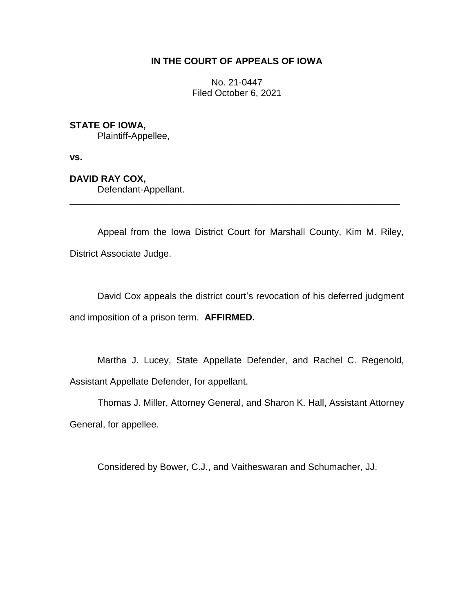## **IN THE COURT OF APPEALS OF IOWA**

No. 21-0447 Filed October 6, 2021

## **STATE OF IOWA,**

Plaintiff-Appellee,

**vs.**

**DAVID RAY COX,** Defendant-Appellant.

Appeal from the Iowa District Court for Marshall County, Kim M. Riley, District Associate Judge.

\_\_\_\_\_\_\_\_\_\_\_\_\_\_\_\_\_\_\_\_\_\_\_\_\_\_\_\_\_\_\_\_\_\_\_\_\_\_\_\_\_\_\_\_\_\_\_\_\_\_\_\_\_\_\_\_\_\_\_\_\_\_\_\_

David Cox appeals the district court's revocation of his deferred judgment and imposition of a prison term. **AFFIRMED.**

Martha J. Lucey, State Appellate Defender, and Rachel C. Regenold, Assistant Appellate Defender, for appellant.

Thomas J. Miller, Attorney General, and Sharon K. Hall, Assistant Attorney General, for appellee.

Considered by Bower, C.J., and Vaitheswaran and Schumacher, JJ.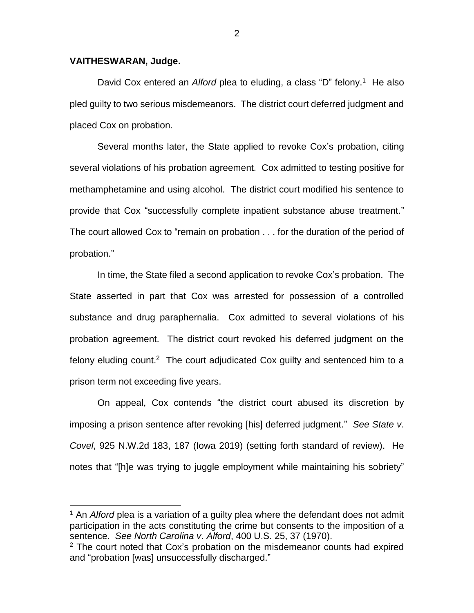## **VAITHESWARAN, Judge.**

 $\overline{a}$ 

David Cox entered an *Alford* plea to eluding, a class "D" felony. <sup>1</sup> He also pled guilty to two serious misdemeanors. The district court deferred judgment and placed Cox on probation.

Several months later, the State applied to revoke Cox's probation, citing several violations of his probation agreement. Cox admitted to testing positive for methamphetamine and using alcohol. The district court modified his sentence to provide that Cox "successfully complete inpatient substance abuse treatment." The court allowed Cox to "remain on probation . . . for the duration of the period of probation."

In time, the State filed a second application to revoke Cox's probation. The State asserted in part that Cox was arrested for possession of a controlled substance and drug paraphernalia. Cox admitted to several violations of his probation agreement. The district court revoked his deferred judgment on the felony eluding count.<sup>2</sup> The court adjudicated Cox guilty and sentenced him to a prison term not exceeding five years.

On appeal, Cox contends "the district court abused its discretion by imposing a prison sentence after revoking [his] deferred judgment." *See State v*. *Covel*, 925 N.W.2d 183, 187 (Iowa 2019) (setting forth standard of review). He notes that "[h]e was trying to juggle employment while maintaining his sobriety"

<sup>1</sup> An *Alford* plea is a variation of a guilty plea where the defendant does not admit participation in the acts constituting the crime but consents to the imposition of a sentence. *See North Carolina v*. *Alford*, 400 U.S. 25, 37 (1970).

 $2$  The court noted that Cox's probation on the misdemeanor counts had expired and "probation [was] unsuccessfully discharged."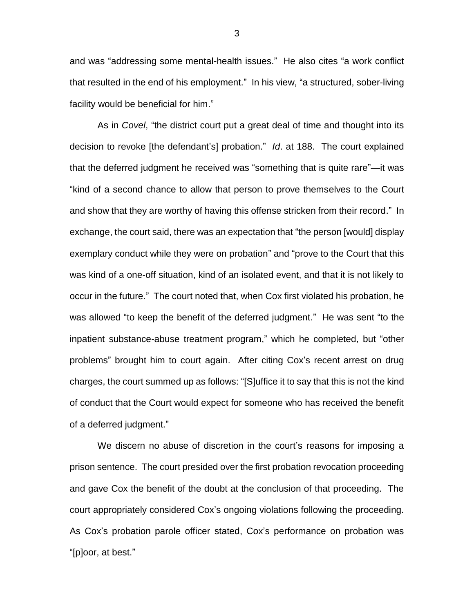and was "addressing some mental-health issues." He also cites "a work conflict that resulted in the end of his employment." In his view, "a structured, sober-living facility would be beneficial for him."

As in *Covel*, "the district court put a great deal of time and thought into its decision to revoke [the defendant's] probation." *Id*. at 188. The court explained that the deferred judgment he received was "something that is quite rare"—it was "kind of a second chance to allow that person to prove themselves to the Court and show that they are worthy of having this offense stricken from their record." In exchange, the court said, there was an expectation that "the person [would] display exemplary conduct while they were on probation" and "prove to the Court that this was kind of a one-off situation, kind of an isolated event, and that it is not likely to occur in the future." The court noted that, when Cox first violated his probation, he was allowed "to keep the benefit of the deferred judgment." He was sent "to the inpatient substance-abuse treatment program," which he completed, but "other problems" brought him to court again. After citing Cox's recent arrest on drug charges, the court summed up as follows: "[S]uffice it to say that this is not the kind of conduct that the Court would expect for someone who has received the benefit of a deferred judgment."

We discern no abuse of discretion in the court's reasons for imposing a prison sentence. The court presided over the first probation revocation proceeding and gave Cox the benefit of the doubt at the conclusion of that proceeding. The court appropriately considered Cox's ongoing violations following the proceeding. As Cox's probation parole officer stated, Cox's performance on probation was "[p]oor, at best."

3